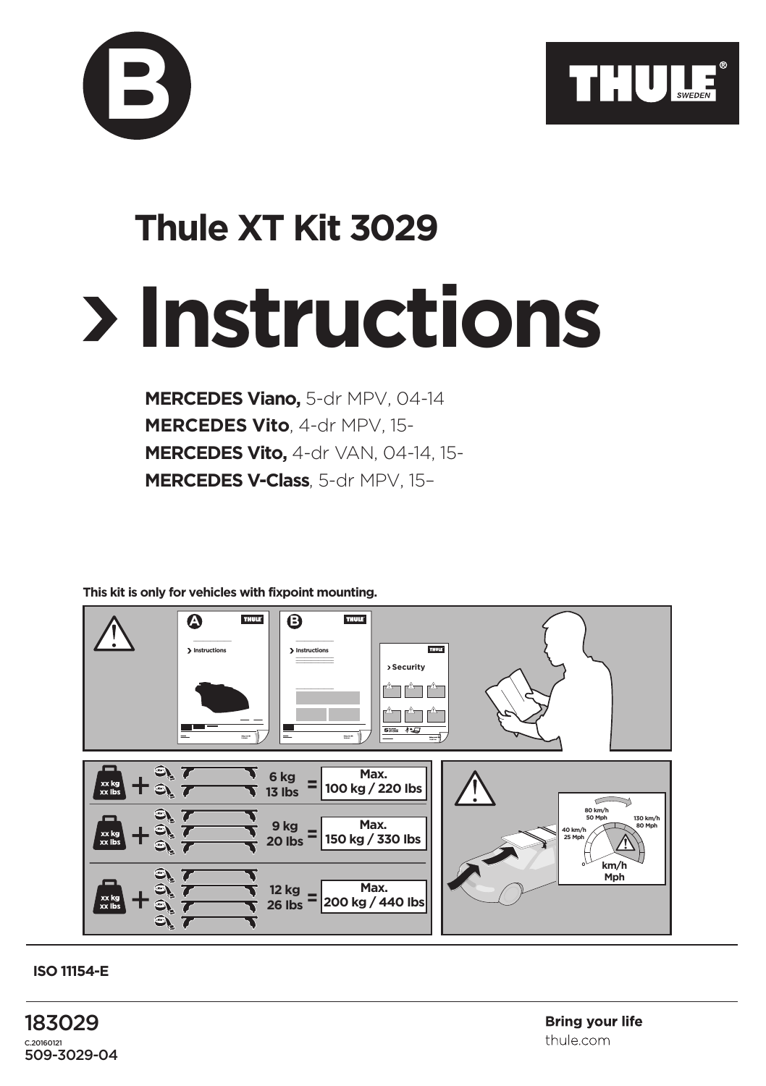



## **Instructions Thule XT Kit 3029**

**MERCEDES Viano,** 5-dr MPV, 04-14 **MERCEDES Vito**, 4-dr MPV, 15- **MERCEDES Vito,** 4-dr VAN, 04-14, 15- **MERCEDES V-Class**, 5-dr MPV, 15–

## **This kit is only for vehicles with fixpoint mounting.**



**ISO 11154-E**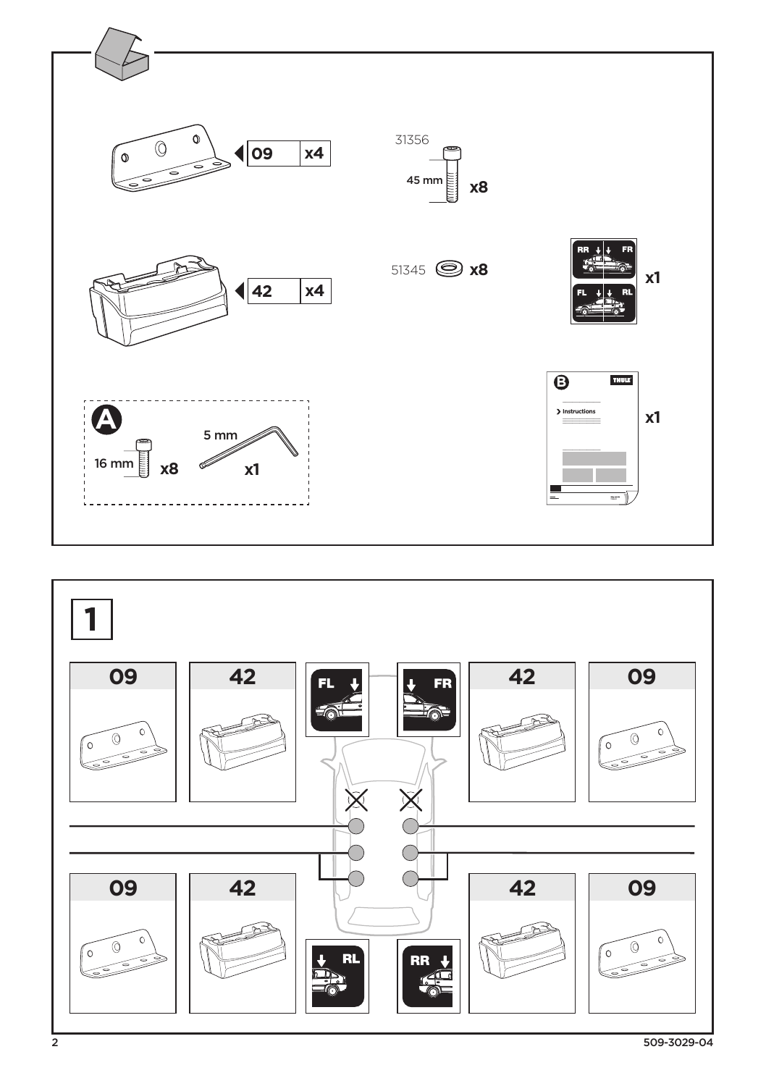

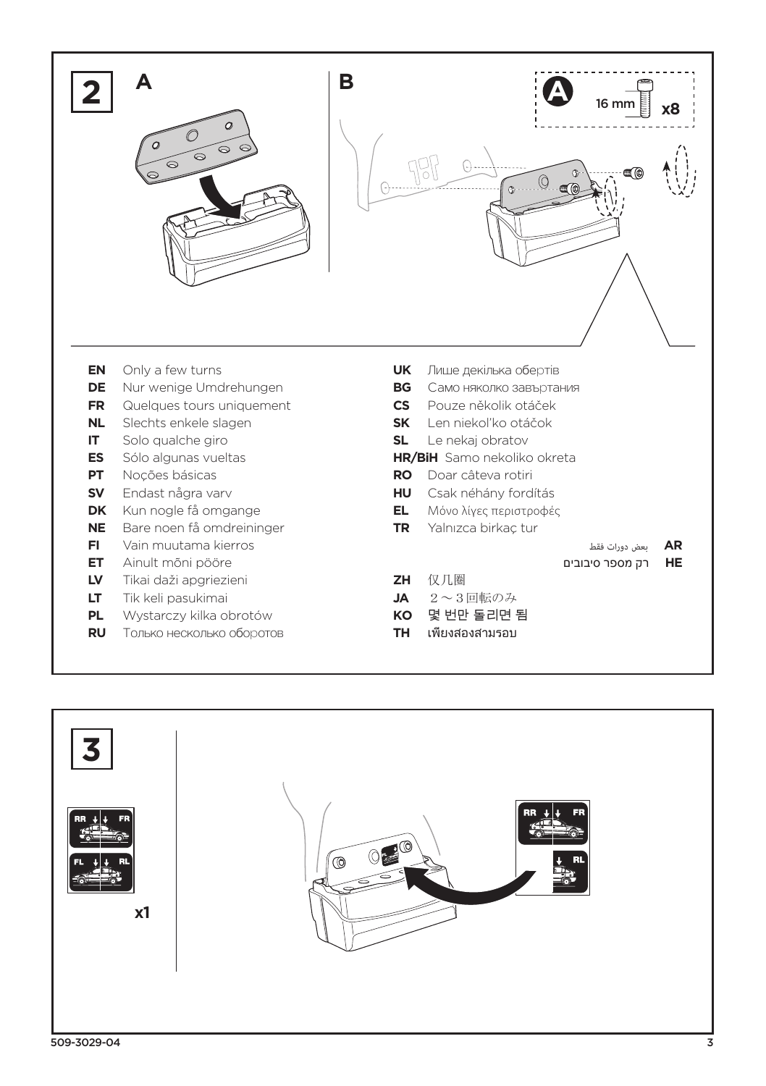